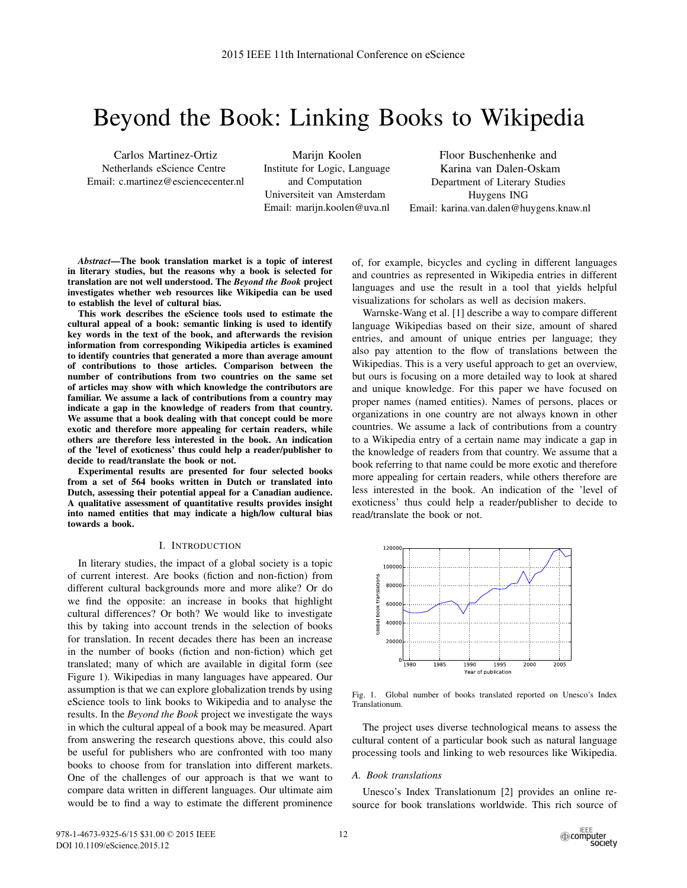# Beyond the Book: Linking Books to Wikipedia

Carlos Martinez-Ortiz Netherlands eScience Centre Email: c.martinez@esciencecenter.nl

Marijn Koolen Institute for Logic, Language and Computation Universiteit van Amsterdam Email: marijn.koolen@uva.nl

Floor Buschenhenke and Karina van Dalen-Oskam Department of Literary Studies Huygens ING Email: karina.van.dalen@huygens.knaw.nl

*Abstract*—The book translation market is a topic of interest in literary studies, but the reasons why a book is selected for translation are not well understood. The *Beyond the Book* project investigates whether web resources like Wikipedia can be used to establish the level of cultural bias.

This work describes the eScience tools used to estimate the cultural appeal of a book: semantic linking is used to identify key words in the text of the book, and afterwards the revision information from corresponding Wikipedia articles is examined to identify countries that generated a more than average amount of contributions to those articles. Comparison between the number of contributions from two countries on the same set of articles may show with which knowledge the contributors are familiar. We assume a lack of contributions from a country may indicate a gap in the knowledge of readers from that country. We assume that a book dealing with that concept could be more exotic and therefore more appealing for certain readers, while others are therefore less interested in the book. An indication of the 'level of exoticness' thus could help a reader/publisher to decide to read/translate the book or not.

Experimental results are presented for four selected books from a set of 564 books written in Dutch or translated into Dutch, assessing their potential appeal for a Canadian audience. A qualitative assessment of quantitative results provides insight into named entities that may indicate a high/low cultural bias towards a book.

#### I. INTRODUCTION

In literary studies, the impact of a global society is a topic of current interest. Are books (fiction and non-fiction) from different cultural backgrounds more and more alike? Or do we find the opposite: an increase in books that highlight cultural differences? Or both? We would like to investigate this by taking into account trends in the selection of books for translation. In recent decades there has been an increase in the number of books (fiction and non-fiction) which get translated; many of which are available in digital form (see Figure 1). Wikipedias in many languages have appeared. Our assumption is that we can explore globalization trends by using eScience tools to link books to Wikipedia and to analyse the results. In the *Beyond the Book* project we investigate the ways in which the cultural appeal of a book may be measured. Apart from answering the research questions above, this could also be useful for publishers who are confronted with too many books to choose from for translation into different markets. One of the challenges of our approach is that we want to compare data written in different languages. Our ultimate aim would be to find a way to estimate the different prominence of, for example, bicycles and cycling in different languages and countries as represented in Wikipedia entries in different languages and use the result in a tool that yields helpful visualizations for scholars as well as decision makers.

Warnske-Wang et al. [1] describe a way to compare different language Wikipedias based on their size, amount of shared entries, and amount of unique entries per language; they also pay attention to the flow of translations between the Wikipedias. This is a very useful approach to get an overview, but ours is focusing on a more detailed way to look at shared and unique knowledge. For this paper we have focused on proper names (named entities). Names of persons, places or organizations in one country are not always known in other countries. We assume a lack of contributions from a country to a Wikipedia entry of a certain name may indicate a gap in the knowledge of readers from that country. We assume that a book referring to that name could be more exotic and therefore more appealing for certain readers, while others therefore are less interested in the book. An indication of the 'level of exoticness' thus could help a reader/publisher to decide to read/translate the book or not.



Fig. 1. Global number of books translated reported on Unesco's Index Translationum.

The project uses diverse technological means to assess the cultural content of a particular book such as natural language processing tools and linking to web resources like Wikipedia.

#### *A. Book translations*

Unesco's Index Translationum [2] provides an online resource for book translations worldwide. This rich source of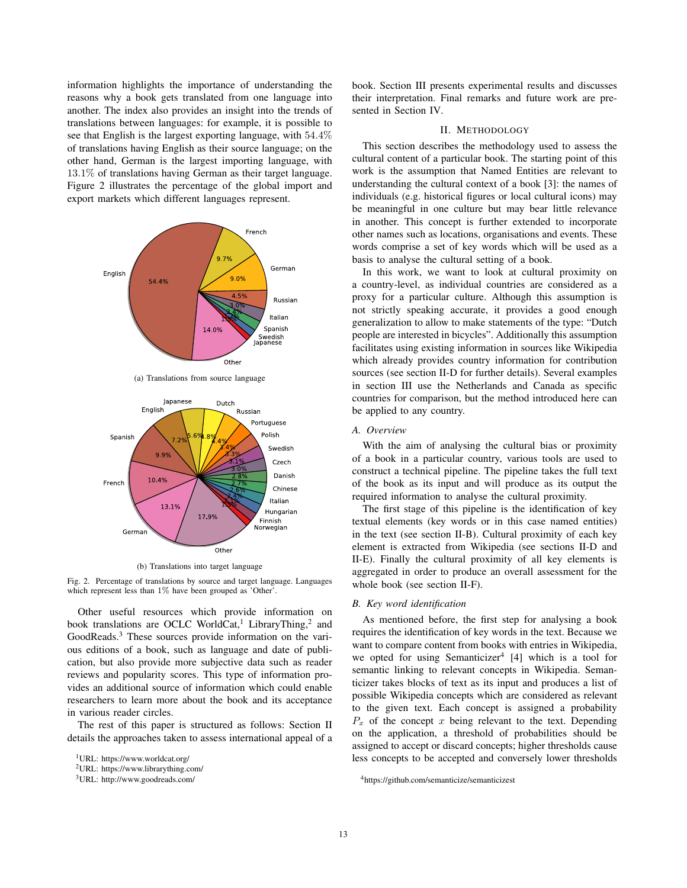information highlights the importance of understanding the reasons why a book gets translated from one language into another. The index also provides an insight into the trends of translations between languages: for example, it is possible to see that English is the largest exporting language, with 54.4% of translations having English as their source language; on the other hand, German is the largest importing language, with 13.1% of translations having German as their target language. Figure 2 illustrates the percentage of the global import and export markets which different languages represent.



(a) Translations from source language



(b) Translations into target language

Fig. 2. Percentage of translations by source and target language. Languages which represent less than 1% have been grouped as 'Other'.

Other useful resources which provide information on book translations are OCLC WorldCat,<sup>1</sup> LibraryThing,<sup>2</sup> and GoodReads.<sup>3</sup> These sources provide information on the various editions of a book, such as language and date of publication, but also provide more subjective data such as reader reviews and popularity scores. This type of information provides an additional source of information which could enable researchers to learn more about the book and its acceptance in various reader circles.

The rest of this paper is structured as follows: Section II details the approaches taken to assess international appeal of a

1URL: https://www.worldcat.org/

book. Section III presents experimental results and discusses their interpretation. Final remarks and future work are presented in Section IV.

## II. METHODOLOGY

This section describes the methodology used to assess the cultural content of a particular book. The starting point of this work is the assumption that Named Entities are relevant to understanding the cultural context of a book [3]: the names of individuals (e.g. historical figures or local cultural icons) may be meaningful in one culture but may bear little relevance in another. This concept is further extended to incorporate other names such as locations, organisations and events. These words comprise a set of key words which will be used as a basis to analyse the cultural setting of a book.

In this work, we want to look at cultural proximity on a country-level, as individual countries are considered as a proxy for a particular culture. Although this assumption is not strictly speaking accurate, it provides a good enough generalization to allow to make statements of the type: "Dutch people are interested in bicycles". Additionally this assumption facilitates using existing information in sources like Wikipedia which already provides country information for contribution sources (see section II-D for further details). Several examples in section III use the Netherlands and Canada as specific countries for comparison, but the method introduced here can be applied to any country.

## *A. Overview*

With the aim of analysing the cultural bias or proximity of a book in a particular country, various tools are used to construct a technical pipeline. The pipeline takes the full text of the book as its input and will produce as its output the required information to analyse the cultural proximity.

The first stage of this pipeline is the identification of key textual elements (key words or in this case named entities) in the text (see section II-B). Cultural proximity of each key element is extracted from Wikipedia (see sections II-D and II-E). Finally the cultural proximity of all key elements is aggregated in order to produce an overall assessment for the whole book (see section II-F).

## *B. Key word identification*

As mentioned before, the first step for analysing a book requires the identification of key words in the text. Because we want to compare content from books with entries in Wikipedia, we opted for using Semanticizer<sup>4</sup> [4] which is a tool for semantic linking to relevant concepts in Wikipedia. Semanticizer takes blocks of text as its input and produces a list of possible Wikipedia concepts which are considered as relevant to the given text. Each concept is assigned a probability  $P_x$  of the concept x being relevant to the text. Depending on the application, a threshold of probabilities should be assigned to accept or discard concepts; higher thresholds cause less concepts to be accepted and conversely lower thresholds

<sup>2</sup>URL: https://www.librarything.com/

<sup>3</sup>URL: http://www.goodreads.com/

<sup>4</sup>https://github.com/semanticize/semanticizest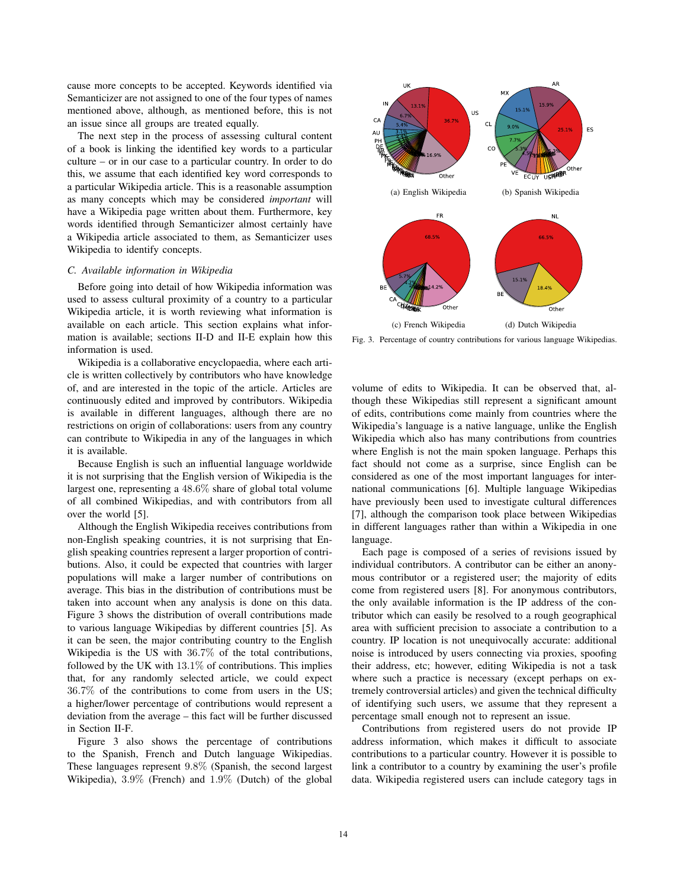cause more concepts to be accepted. Keywords identified via Semanticizer are not assigned to one of the four types of names mentioned above, although, as mentioned before, this is not an issue since all groups are treated equally.

The next step in the process of assessing cultural content of a book is linking the identified key words to a particular culture – or in our case to a particular country. In order to do this, we assume that each identified key word corresponds to a particular Wikipedia article. This is a reasonable assumption as many concepts which may be considered *important* will have a Wikipedia page written about them. Furthermore, key words identified through Semanticizer almost certainly have a Wikipedia article associated to them, as Semanticizer uses Wikipedia to identify concepts.

### *C. Available information in Wikipedia*

Before going into detail of how Wikipedia information was used to assess cultural proximity of a country to a particular Wikipedia article, it is worth reviewing what information is available on each article. This section explains what information is available; sections II-D and II-E explain how this information is used.

Wikipedia is a collaborative encyclopaedia, where each article is written collectively by contributors who have knowledge of, and are interested in the topic of the article. Articles are continuously edited and improved by contributors. Wikipedia is available in different languages, although there are no restrictions on origin of collaborations: users from any country can contribute to Wikipedia in any of the languages in which it is available.

Because English is such an influential language worldwide it is not surprising that the English version of Wikipedia is the largest one, representing a 48.6% share of global total volume of all combined Wikipedias, and with contributors from all over the world [5].

Although the English Wikipedia receives contributions from non-English speaking countries, it is not surprising that English speaking countries represent a larger proportion of contributions. Also, it could be expected that countries with larger populations will make a larger number of contributions on average. This bias in the distribution of contributions must be taken into account when any analysis is done on this data. Figure 3 shows the distribution of overall contributions made to various language Wikipedias by different countries [5]. As it can be seen, the major contributing country to the English Wikipedia is the US with 36.7% of the total contributions, followed by the UK with 13.1% of contributions. This implies that, for any randomly selected article, we could expect 36.7% of the contributions to come from users in the US; a higher/lower percentage of contributions would represent a deviation from the average – this fact will be further discussed in Section II-F.

Figure 3 also shows the percentage of contributions to the Spanish, French and Dutch language Wikipedias. These languages represent 9.8% (Spanish, the second largest Wikipedia), 3.9% (French) and 1.9% (Dutch) of the global



Fig. 3. Percentage of country contributions for various language Wikipedias.

volume of edits to Wikipedia. It can be observed that, although these Wikipedias still represent a significant amount of edits, contributions come mainly from countries where the Wikipedia's language is a native language, unlike the English Wikipedia which also has many contributions from countries where English is not the main spoken language. Perhaps this fact should not come as a surprise, since English can be considered as one of the most important languages for international communications [6]. Multiple language Wikipedias have previously been used to investigate cultural differences [7], although the comparison took place between Wikipedias in different languages rather than within a Wikipedia in one language.

Each page is composed of a series of revisions issued by individual contributors. A contributor can be either an anonymous contributor or a registered user; the majority of edits come from registered users [8]. For anonymous contributors, the only available information is the IP address of the contributor which can easily be resolved to a rough geographical area with sufficient precision to associate a contribution to a country. IP location is not unequivocally accurate: additional noise is introduced by users connecting via proxies, spoofing their address, etc; however, editing Wikipedia is not a task where such a practice is necessary (except perhaps on extremely controversial articles) and given the technical difficulty of identifying such users, we assume that they represent a percentage small enough not to represent an issue.

Contributions from registered users do not provide IP address information, which makes it difficult to associate contributions to a particular country. However it is possible to link a contributor to a country by examining the user's profile data. Wikipedia registered users can include category tags in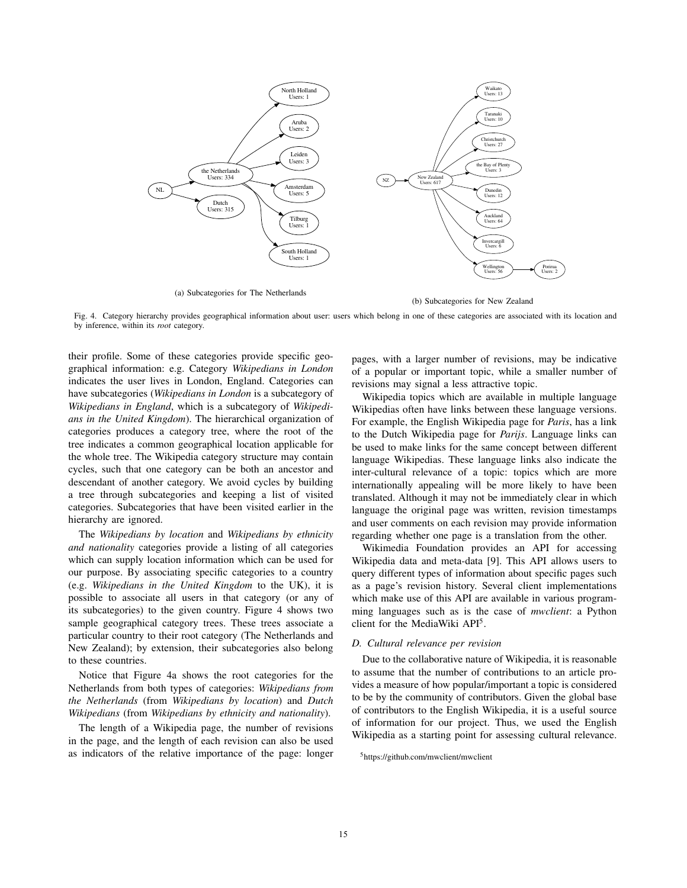

(a) Subcategories for The Netherlands

(b) Subcategories for New Zealand

Fig. 4. Category hierarchy provides geographical information about user: users which belong in one of these categories are associated with its location and by inference, within its *root* category.

their profile. Some of these categories provide specific geographical information: e.g. Category *Wikipedians in London* indicates the user lives in London, England. Categories can have subcategories (*Wikipedians in London* is a subcategory of *Wikipedians in England*, which is a subcategory of *Wikipedians in the United Kingdom*). The hierarchical organization of categories produces a category tree, where the root of the tree indicates a common geographical location applicable for the whole tree. The Wikipedia category structure may contain cycles, such that one category can be both an ancestor and descendant of another category. We avoid cycles by building a tree through subcategories and keeping a list of visited categories. Subcategories that have been visited earlier in the hierarchy are ignored.

The *Wikipedians by location* and *Wikipedians by ethnicity and nationality* categories provide a listing of all categories which can supply location information which can be used for our purpose. By associating specific categories to a country (e.g. *Wikipedians in the United Kingdom* to the UK), it is possible to associate all users in that category (or any of its subcategories) to the given country. Figure 4 shows two sample geographical category trees. These trees associate a particular country to their root category (The Netherlands and New Zealand); by extension, their subcategories also belong to these countries.

Notice that Figure 4a shows the root categories for the Netherlands from both types of categories: *Wikipedians from the Netherlands* (from *Wikipedians by location*) and *Dutch Wikipedians* (from *Wikipedians by ethnicity and nationality*).

The length of a Wikipedia page, the number of revisions in the page, and the length of each revision can also be used as indicators of the relative importance of the page: longer pages, with a larger number of revisions, may be indicative of a popular or important topic, while a smaller number of revisions may signal a less attractive topic.

Wikipedia topics which are available in multiple language Wikipedias often have links between these language versions. For example, the English Wikipedia page for *Paris*, has a link to the Dutch Wikipedia page for *Parijs*. Language links can be used to make links for the same concept between different language Wikipedias. These language links also indicate the inter-cultural relevance of a topic: topics which are more internationally appealing will be more likely to have been translated. Although it may not be immediately clear in which language the original page was written, revision timestamps and user comments on each revision may provide information regarding whether one page is a translation from the other.

Wikimedia Foundation provides an API for accessing Wikipedia data and meta-data [9]. This API allows users to query different types of information about specific pages such as a page's revision history. Several client implementations which make use of this API are available in various programming languages such as is the case of *mwclient*: a Python client for the MediaWiki API5.

#### *D. Cultural relevance per revision*

Due to the collaborative nature of Wikipedia, it is reasonable to assume that the number of contributions to an article provides a measure of how popular/important a topic is considered to be by the community of contributors. Given the global base of contributors to the English Wikipedia, it is a useful source of information for our project. Thus, we used the English Wikipedia as a starting point for assessing cultural relevance.

<sup>5</sup>https://github.com/mwclient/mwclient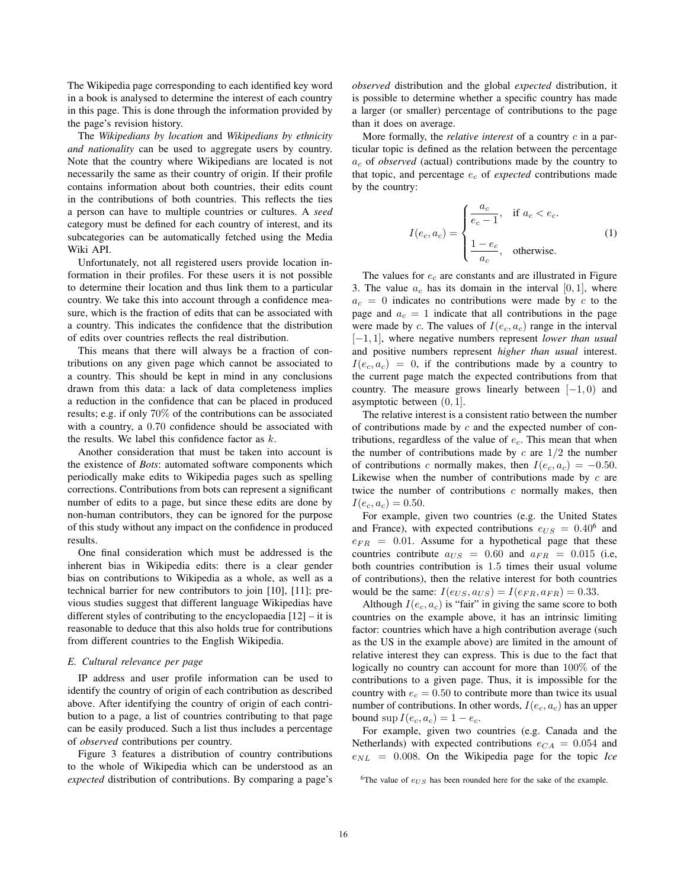The Wikipedia page corresponding to each identified key word in a book is analysed to determine the interest of each country in this page. This is done through the information provided by the page's revision history.

The *Wikipedians by location* and *Wikipedians by ethnicity and nationality* can be used to aggregate users by country. Note that the country where Wikipedians are located is not necessarily the same as their country of origin. If their profile contains information about both countries, their edits count in the contributions of both countries. This reflects the ties a person can have to multiple countries or cultures. A *seed* category must be defined for each country of interest, and its subcategories can be automatically fetched using the Media Wiki API.

Unfortunately, not all registered users provide location information in their profiles. For these users it is not possible to determine their location and thus link them to a particular country. We take this into account through a confidence measure, which is the fraction of edits that can be associated with a country. This indicates the confidence that the distribution of edits over countries reflects the real distribution.

This means that there will always be a fraction of contributions on any given page which cannot be associated to a country. This should be kept in mind in any conclusions drawn from this data: a lack of data completeness implies a reduction in the confidence that can be placed in produced results; e.g. if only 70% of the contributions can be associated with a country, a 0.70 confidence should be associated with the results. We label this confidence factor as  $k$ .

Another consideration that must be taken into account is the existence of *Bots*: automated software components which periodically make edits to Wikipedia pages such as spelling corrections. Contributions from bots can represent a significant number of edits to a page, but since these edits are done by non-human contributors, they can be ignored for the purpose of this study without any impact on the confidence in produced results.

One final consideration which must be addressed is the inherent bias in Wikipedia edits: there is a clear gender bias on contributions to Wikipedia as a whole, as well as a technical barrier for new contributors to join [10], [11]; previous studies suggest that different language Wikipedias have different styles of contributing to the encyclopaedia [12] – it is reasonable to deduce that this also holds true for contributions from different countries to the English Wikipedia.

#### *E. Cultural relevance per page*

IP address and user profile information can be used to identify the country of origin of each contribution as described above. After identifying the country of origin of each contribution to a page, a list of countries contributing to that page can be easily produced. Such a list thus includes a percentage of *observed* contributions per country.

Figure 3 features a distribution of country contributions to the whole of Wikipedia which can be understood as an *expected* distribution of contributions. By comparing a page's *observed* distribution and the global *expected* distribution, it is possible to determine whether a specific country has made a larger (or smaller) percentage of contributions to the page than it does on average.

More formally, the *relative interest* of a country c in a particular topic is defined as the relation between the percentage  $a_c$  of *observed* (actual) contributions made by the country to that topic, and percentage  $e_c$  of *expected* contributions made by the country:

$$
I(e_c, a_c) = \begin{cases} \frac{a_c}{e_c - 1}, & \text{if } a_c < e_c. \\ \frac{1 - e_c}{a_c}, & \text{otherwise.} \end{cases}
$$
 (1)

The values for  $e_c$  are constants and are illustrated in Figure 3. The value  $a_c$  has its domain in the interval  $[0, 1]$ , where  $a_c = 0$  indicates no contributions were made by c to the page and  $a_c = 1$  indicate that all contributions in the page were made by c. The values of  $I(e_c, a_c)$  range in the interval [−1, 1], where negative numbers represent *lower than usual* and positive numbers represent *higher than usual* interest.  $I(e_c, a_c) = 0$ , if the contributions made by a country to the current page match the expected contributions from that country. The measure grows linearly between  $[-1, 0)$  and asymptotic between  $(0, 1]$ .

The relative interest is a consistent ratio between the number of contributions made by  $c$  and the expected number of contributions, regardless of the value of  $e_c$ . This mean that when the number of contributions made by  $c$  are  $1/2$  the number of contributions c normally makes, then  $I(e_c, a_c) = -0.50$ . Likewise when the number of contributions made by  $c$  are twice the number of contributions  $c$  normally makes, then  $I(e_c, a_c)=0.50.$ 

For example, given two countries (e.g. the United States and France), with expected contributions  $e_{US} = 0.40^6$  and  $e_{FR}$  = 0.01. Assume for a hypothetical page that these countries contribute  $a_{US} = 0.60$  and  $a_{FR} = 0.015$  (i.e, both countries contribution is 1.5 times their usual volume of contributions), then the relative interest for both countries would be the same:  $I(e_{US}, a_{US}) = I(e_{FR}, a_{FR}) = 0.33$ .

Although  $I(e_c, a_c)$  is "fair" in giving the same score to both countries on the example above, it has an intrinsic limiting factor: countries which have a high contribution average (such as the US in the example above) are limited in the amount of relative interest they can express. This is due to the fact that logically no country can account for more than 100% of the contributions to a given page. Thus, it is impossible for the country with  $e_c = 0.50$  to contribute more than twice its usual number of contributions. In other words,  $I(e_c, a_c)$  has an upper bound  $\sup I(e_c, a_c)=1 - e_c$ .

For example, given two countries (e.g. Canada and the Netherlands) with expected contributions  $e_{CA} = 0.054$  and  $e_{NL}$  = 0.008. On the Wikipedia page for the topic *Ice* 

<sup>&</sup>lt;sup>6</sup>The value of  $e_{US}$  has been rounded here for the sake of the example.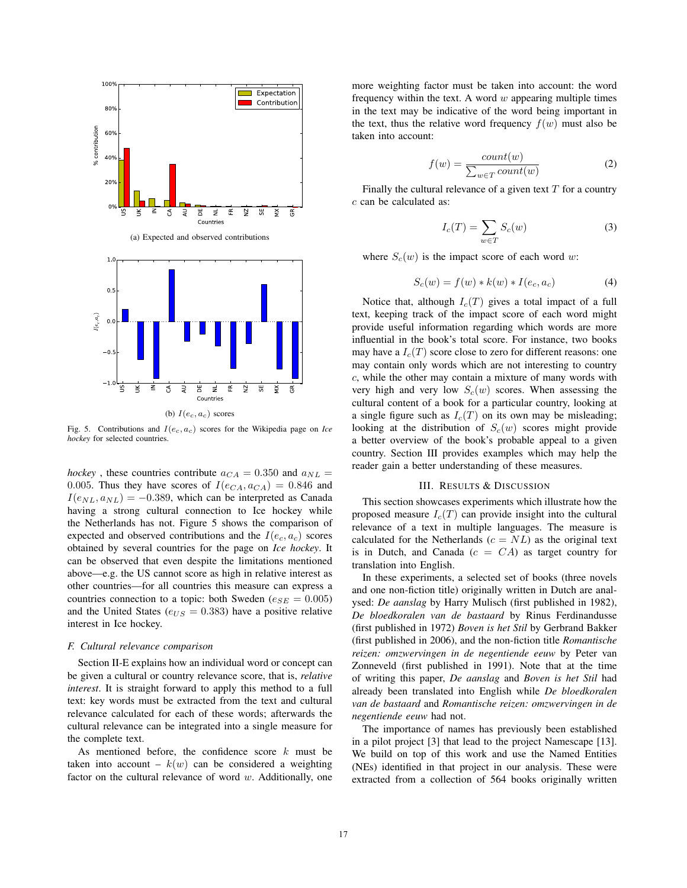

(b)  $I(e_c, a_c)$  scores

Fig. 5. Contributions and  $I(e_c, a_c)$  scores for the Wikipedia page on *Ice hockey* for selected countries.

*hockey*, these countries contribute  $a_{CA} = 0.350$  and  $a_{NL} =$ 0.005. Thus they have scores of  $I(e_{CA}, a_{CA})=0.846$  and  $I(e_{NL}, a_{NL}) = -0.389$ , which can be interpreted as Canada having a strong cultural connection to Ice hockey while the Netherlands has not. Figure 5 shows the comparison of expected and observed contributions and the  $I(e_c, a_c)$  scores obtained by several countries for the page on *Ice hockey*. It can be observed that even despite the limitations mentioned above—e.g. the US cannot score as high in relative interest as other countries—for all countries this measure can express a countries connection to a topic: both Sweden ( $e_{SE} = 0.005$ ) and the United States ( $e_{US} = 0.383$ ) have a positive relative interest in Ice hockey.

#### *F. Cultural relevance comparison*

Section II-E explains how an individual word or concept can be given a cultural or country relevance score, that is, *relative interest*. It is straight forward to apply this method to a full text: key words must be extracted from the text and cultural relevance calculated for each of these words; afterwards the cultural relevance can be integrated into a single measure for the complete text.

As mentioned before, the confidence score  $k$  must be taken into account –  $k(w)$  can be considered a weighting factor on the cultural relevance of word  $w$ . Additionally, one

more weighting factor must be taken into account: the word frequency within the text. A word  $w$  appearing multiple times in the text may be indicative of the word being important in the text, thus the relative word frequency  $f(w)$  must also be taken into account:

$$
f(w) = \frac{count(w)}{\sum_{w \in T} count(w)}\tag{2}
$$

Finally the cultural relevance of a given text  $T$  for a country c can be calculated as:

$$
I_c(T) = \sum_{w \in T} S_c(w) \tag{3}
$$

where  $S_c(w)$  is the impact score of each word w:

$$
S_c(w) = f(w) * k(w) * I(e_c, a_c)
$$
 (4)

Notice that, although  $I_c(T)$  gives a total impact of a full text, keeping track of the impact score of each word might provide useful information regarding which words are more influential in the book's total score. For instance, two books may have a  $I_c(T)$  score close to zero for different reasons: one may contain only words which are not interesting to country c, while the other may contain a mixture of many words with very high and very low  $S_c(w)$  scores. When assessing the cultural content of a book for a particular country, looking at a single figure such as  $I_c(T)$  on its own may be misleading; looking at the distribution of  $S_c(w)$  scores might provide a better overview of the book's probable appeal to a given country. Section III provides examples which may help the reader gain a better understanding of these measures.

### III. RESULTS & DISCUSSION

This section showcases experiments which illustrate how the proposed measure  $I_c(T)$  can provide insight into the cultural relevance of a text in multiple languages. The measure is calculated for the Netherlands ( $c = NL$ ) as the original text is in Dutch, and Canada  $(c = CA)$  as target country for translation into English.

In these experiments, a selected set of books (three novels and one non-fiction title) originally written in Dutch are analysed: *De aanslag* by Harry Mulisch (first published in 1982), *De bloedkoralen van de bastaard* by Rinus Ferdinandusse (first published in 1972) *Boven is het Stil* by Gerbrand Bakker (first published in 2006), and the non-fiction title *Romantische reizen: omzwervingen in de negentiende eeuw* by Peter van Zonneveld (first published in 1991). Note that at the time of writing this paper, *De aanslag* and *Boven is het Stil* had already been translated into English while *De bloedkoralen van de bastaard* and *Romantische reizen: omzwervingen in de negentiende eeuw* had not.

The importance of names has previously been established in a pilot project [3] that lead to the project Namescape [13]. We build on top of this work and use the Named Entities (NEs) identified in that project in our analysis. These were extracted from a collection of 564 books originally written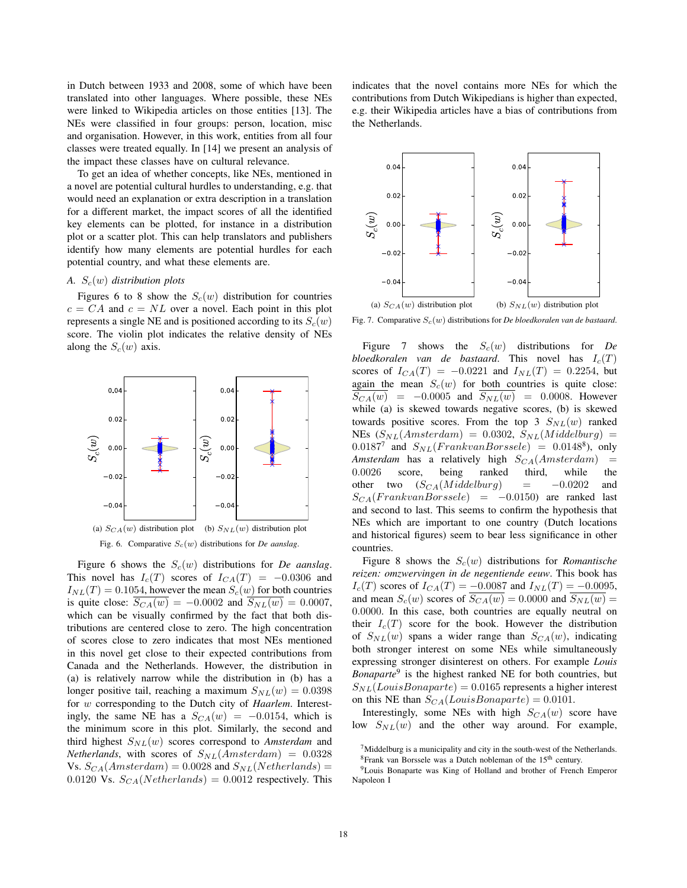in Dutch between 1933 and 2008, some of which have been translated into other languages. Where possible, these NEs were linked to Wikipedia articles on those entities [13]. The NEs were classified in four groups: person, location, misc and organisation. However, in this work, entities from all four classes were treated equally. In [14] we present an analysis of the impact these classes have on cultural relevance.

To get an idea of whether concepts, like NEs, mentioned in a novel are potential cultural hurdles to understanding, e.g. that would need an explanation or extra description in a translation for a different market, the impact scores of all the identified key elements can be plotted, for instance in a distribution plot or a scatter plot. This can help translators and publishers identify how many elements are potential hurdles for each potential country, and what these elements are.

#### *A.* Sc(w) *distribution plots*

Figures 6 to 8 show the  $S_c(w)$  distribution for countries  $c = CA$  and  $c = NL$  over a novel. Each point in this plot represents a single NE and is positioned according to its  $S_c(w)$ score. The violin plot indicates the relative density of NEs along the  $S_c(w)$  axis.



Figure 6 shows the  $S_c(w)$  distributions for *De aanslag*. This novel has  $I_c(T)$  scores of  $I_{CA}(T) = -0.0306$  and  $I_{NL}(T)=0.1054$ , however the mean  $S_c(w)$  for both countries is quite close:  $S_{CA}(w) = -0.0002$  and  $S_{NL}(w) = 0.0007$ , which can be visually confirmed by the fact that both distributions are centered close to zero. The high concentration of scores close to zero indicates that most NEs mentioned in this novel get close to their expected contributions from Canada and the Netherlands. However, the distribution in (a) is relatively narrow while the distribution in (b) has a longer positive tail, reaching a maximum  $S_{NL}(w)=0.0398$ for w corresponding to the Dutch city of *Haarlem*. Interestingly, the same NE has a  $S_{CA}(w) = -0.0154$ , which is the minimum score in this plot. Similarly, the second and third highest  $S_{NL}(w)$  scores correspond to *Amsterdam* and *Netherlands*, with scores of  $S_{NL}(Amsterdam) = 0.0328$ Vs.  $S_{CA}(Amsterdam) = 0.0028$  and  $S_{NL}(Netherlands) =$ 0.0120 Vs.  $S_{CA}(Netherlands)=0.0012$  respectively. This

indicates that the novel contains more NEs for which the contributions from Dutch Wikipedians is higher than expected, e.g. their Wikipedia articles have a bias of contributions from the Netherlands.



Fig. 7. Comparative  $S_c(w)$  distributions for *De bloedkoralen van de bastaard*.

Figure 7 shows the  $S_c(w)$  distributions for *De bloedkoralen van de bastaard*. This novel has  $I_c(T)$ scores of  $I_{CA}(T) = -0.0221$  and  $I_{NL}(T) = 0.2254$ , but again the mean  $S_c(w)$  for both countries is quite close:  $S_{CA}(w) = -0.0005$  and  $S_{NL}(w) = 0.0008$ . However while (a) is skewed towards negative scores, (b) is skewed towards positive scores. From the top 3  $S_{NL}(w)$  ranked NEs  $(S_{NL}(Amsterdam) = 0.0302, S_{NL}(Middelay) =$  $0.0187<sup>7</sup>$  and  $S_{NL}(FrankvanBorssele) = 0.0148<sup>8</sup>$ , only *Amsterdam* has a relatively high  $S_{CA}(Amsterdam)$  = 0.0026 score, being ranked third, while the other two  $(S_{CA}(Middelburg))$  = −0.0202 and  $S_{CA}(FrankvanBorssele) = -0.0150$  are ranked last and second to last. This seems to confirm the hypothesis that NEs which are important to one country (Dutch locations and historical figures) seem to bear less significance in other countries.

Figure 8 shows the  $S_c(w)$  distributions for *Romantische reizen: omzwervingen in de negentiende eeuw*. This book has  $I_c(T)$  scores of  $I_{CA}(T) = -0.0087$  and  $I_{NL}(T) = -0.0095$ , and mean  $S_c(w)$  scores of  $\overline{S_{CA}(w)}=0.0000$  and  $\overline{S_{NL}(w)}=0$ 0.0000. In this case, both countries are equally neutral on their  $I_c(T)$  score for the book. However the distribution of  $S_{NL}(w)$  spans a wider range than  $S_{CA}(w)$ , indicating both stronger interest on some NEs while simultaneously expressing stronger disinterest on others. For example *Louis Bonaparte*<sup>9</sup> is the highest ranked NE for both countries, but  $S_{NL}(Louis Bonaparte)=0.0165$  represents a higher interest on this NE than  $S_{CA}(Louis Bonaparte)=0.0101$ .

Interestingly, some NEs with high  $S_{CA}(w)$  score have low  $S_{NL}(w)$  and the other way around. For example,

 $<sup>7</sup>$ Middelburg is a municipality and city in the south-west of the Netherlands.</sup>

 ${}^{8}$ Frank van Borssele was a Dutch nobleman of the 15<sup>th</sup> century.

<sup>9</sup>Louis Bonaparte was King of Holland and brother of French Emperor Napoleon I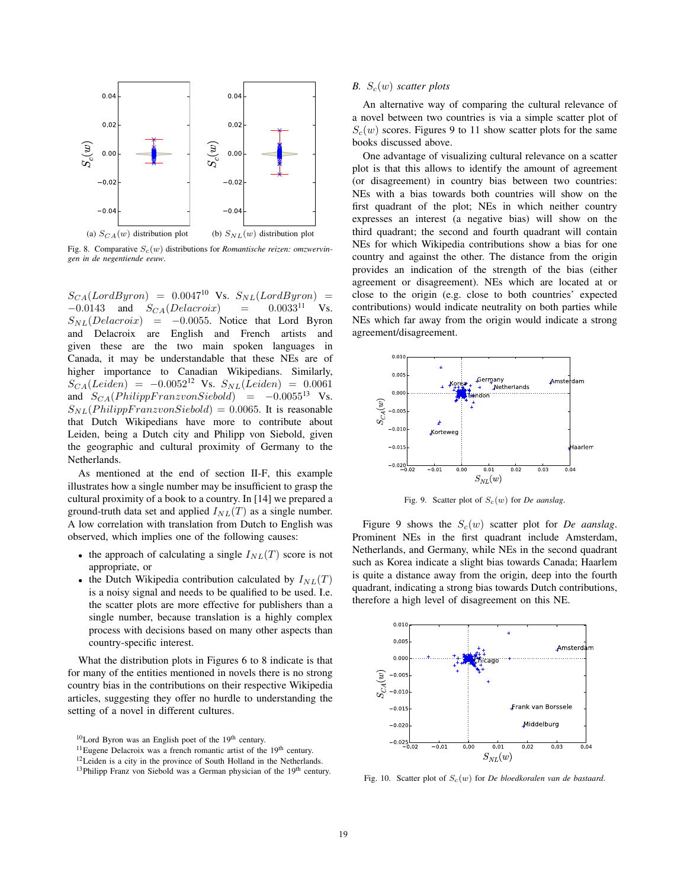

Fig. 8. Comparative  $S_c(w)$  distributions for *Romantische reizen: omzwervingen in de negentiende eeuw*.

 $S_{CA}(LordByron) = 0.0047^{10}$  Vs.  $S_{NL}(LordByron) = -0.0143$  and  $S_{CA}(Delacroix) = 0.0033^{11}$  Vs.  $-0.0143$  and  $S_{CA}(Delace)$  = 0.0033<sup>11</sup> Vs.  $S_{NL}(Delacevoix)$  = -0.0055. Notice that Lord Byron and Delacroix are English and French artists and given these are the two main spoken languages in Canada, it may be understandable that these NEs are of higher importance to Canadian Wikipedians. Similarly,  $S_{CA}(Leiden) = -0.0052^{12}$  Vs.  $S_{NL}(Leiden) = 0.0061$ and  $S_{CA}(Philip Franz von Siebold) = -0.0055<sup>13</sup>$  Vs.  $S_{NL}(Philip Franz von Siebold) = 0.0065$ . It is reasonable that Dutch Wikipedians have more to contribute about Leiden, being a Dutch city and Philipp von Siebold, given the geographic and cultural proximity of Germany to the Netherlands.

As mentioned at the end of section II-F, this example illustrates how a single number may be insufficient to grasp the cultural proximity of a book to a country. In [14] we prepared a ground-truth data set and applied  $I_{NL}(T)$  as a single number. A low correlation with translation from Dutch to English was observed, which implies one of the following causes:

- the approach of calculating a single  $I_{NL}(T)$  score is not appropriate, or
- the Dutch Wikipedia contribution calculated by  $I_{NL}(T)$ is a noisy signal and needs to be qualified to be used. I.e. the scatter plots are more effective for publishers than a single number, because translation is a highly complex process with decisions based on many other aspects than country-specific interest.

What the distribution plots in Figures 6 to 8 indicate is that for many of the entities mentioned in novels there is no strong country bias in the contributions on their respective Wikipedia articles, suggesting they offer no hurdle to understanding the setting of a novel in different cultures.

<sup>10</sup>Lord Byron was an English poet of the 19<sup>th</sup> century.

## *B.*  $S_c(w)$  *scatter plots*

An alternative way of comparing the cultural relevance of a novel between two countries is via a simple scatter plot of  $S<sub>c</sub>(w)$  scores. Figures 9 to 11 show scatter plots for the same books discussed above.

One advantage of visualizing cultural relevance on a scatter plot is that this allows to identify the amount of agreement (or disagreement) in country bias between two countries: NEs with a bias towards both countries will show on the first quadrant of the plot; NEs in which neither country expresses an interest (a negative bias) will show on the third quadrant; the second and fourth quadrant will contain NEs for which Wikipedia contributions show a bias for one country and against the other. The distance from the origin provides an indication of the strength of the bias (either agreement or disagreement). NEs which are located at or close to the origin (e.g. close to both countries' expected contributions) would indicate neutrality on both parties while NEs which far away from the origin would indicate a strong agreement/disagreement.



Fig. 9. Scatter plot of  $S_c(w)$  for *De aanslag*.

Figure 9 shows the  $S_c(w)$  scatter plot for *De aanslag*. Prominent NEs in the first quadrant include Amsterdam, Netherlands, and Germany, while NEs in the second quadrant such as Korea indicate a slight bias towards Canada; Haarlem is quite a distance away from the origin, deep into the fourth quadrant, indicating a strong bias towards Dutch contributions, therefore a high level of disagreement on this NE.



Fig. 10. Scatter plot of  $S_c(w)$  for *De bloedkoralen van de bastaard*.

<sup>&</sup>lt;sup>11</sup>Eugene Delacroix was a french romantic artist of the 19<sup>th</sup> century.

<sup>&</sup>lt;sup>12</sup> Leiden is a city in the province of South Holland in the Netherlands.

<sup>&</sup>lt;sup>13</sup>Philipp Franz von Siebold was a German physician of the 19<sup>th</sup> century.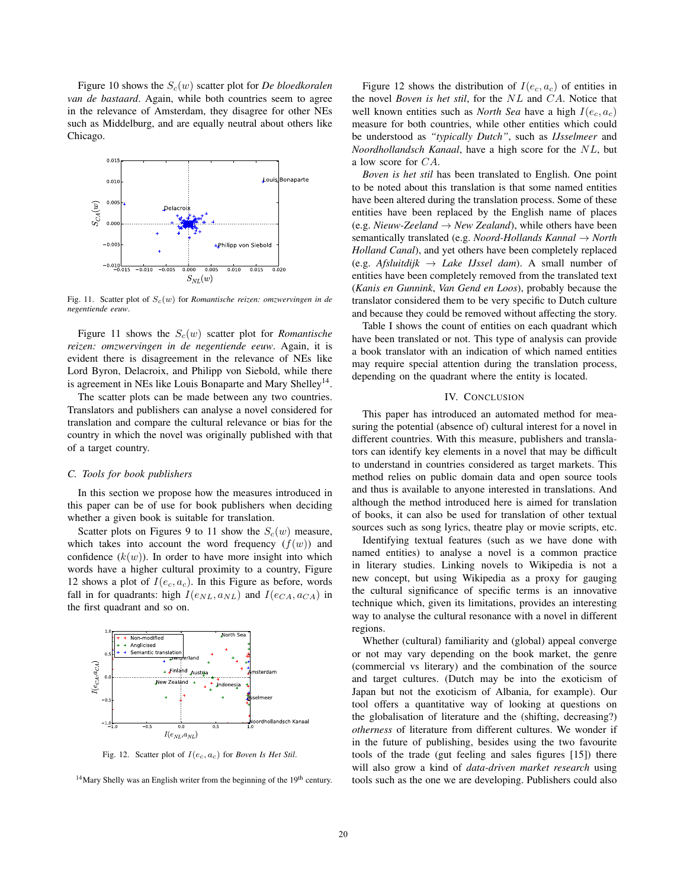Figure 10 shows the  $S_c(w)$  scatter plot for *De bloedkoralen van de bastaard*. Again, while both countries seem to agree in the relevance of Amsterdam, they disagree for other NEs such as Middelburg, and are equally neutral about others like Chicago.



Fig. 11. Scatter plot of Sc(w) for *Romantische reizen: omzwervingen in de negentiende eeuw*.

Figure 11 shows the  $S_c(w)$  scatter plot for *Romantische reizen: omzwervingen in de negentiende eeuw*. Again, it is evident there is disagreement in the relevance of NEs like Lord Byron, Delacroix, and Philipp von Siebold, while there is agreement in NEs like Louis Bonaparte and Mary Shelley<sup>14</sup>.

The scatter plots can be made between any two countries. Translators and publishers can analyse a novel considered for translation and compare the cultural relevance or bias for the country in which the novel was originally published with that of a target country.

## *C. Tools for book publishers*

In this section we propose how the measures introduced in this paper can be of use for book publishers when deciding whether a given book is suitable for translation.

Scatter plots on Figures 9 to 11 show the  $S_c(w)$  measure, which takes into account the word frequency  $(f(w))$  and confidence  $(k(w))$ . In order to have more insight into which words have a higher cultural proximity to a country, Figure 12 shows a plot of  $I(e_c, a_c)$ . In this Figure as before, words fall in for quadrants: high  $I(e_{NL}, a_{NL})$  and  $I(e_{CA}, a_{CA})$  in the first quadrant and so on.



Fig. 12. Scatter plot of  $I(e_c, a_c)$  for *Boven Is Het Stil*.

 $14$ Mary Shelly was an English writer from the beginning of the  $19<sup>th</sup>$  century.

Figure 12 shows the distribution of  $I(e_c, a_c)$  of entities in the novel *Boven is het stil*, for the NL and CA. Notice that well known entities such as *North Sea* have a high  $I(e_c, a_c)$ measure for both countries, while other entities which could be understood as *"typically Dutch"*, such as *IJsselmeer* and *Noordhollandsch Kanaal*, have a high score for the NL, but a low score for CA.

*Boven is het stil* has been translated to English. One point to be noted about this translation is that some named entities have been altered during the translation process. Some of these entities have been replaced by the English name of places  $(e.g. \textit{Nieuw-Zeeland} \rightarrow \textit{New Zealand})$ , while others have been semantically translated (e.g. *Noord-Hollands Kannal* → *North Holland Canal*), and yet others have been completely replaced  $(e.g.$  *Afsluitdijk*  $\rightarrow$  *Lake IJssel dam*). A small number of entities have been completely removed from the translated text (*Kanis en Gunnink*, *Van Gend en Loos*), probably because the translator considered them to be very specific to Dutch culture and because they could be removed without affecting the story.

Table I shows the count of entities on each quadrant which have been translated or not. This type of analysis can provide a book translator with an indication of which named entities may require special attention during the translation process, depending on the quadrant where the entity is located.

#### IV. CONCLUSION

This paper has introduced an automated method for measuring the potential (absence of) cultural interest for a novel in different countries. With this measure, publishers and translators can identify key elements in a novel that may be difficult to understand in countries considered as target markets. This method relies on public domain data and open source tools and thus is available to anyone interested in translations. And although the method introduced here is aimed for translation of books, it can also be used for translation of other textual sources such as song lyrics, theatre play or movie scripts, etc.

Identifying textual features (such as we have done with named entities) to analyse a novel is a common practice in literary studies. Linking novels to Wikipedia is not a new concept, but using Wikipedia as a proxy for gauging the cultural significance of specific terms is an innovative technique which, given its limitations, provides an interesting way to analyse the cultural resonance with a novel in different regions.

Whether (cultural) familiarity and (global) appeal converge or not may vary depending on the book market, the genre (commercial vs literary) and the combination of the source and target cultures. (Dutch may be into the exoticism of Japan but not the exoticism of Albania, for example). Our tool offers a quantitative way of looking at questions on the globalisation of literature and the (shifting, decreasing?) *otherness* of literature from different cultures. We wonder if in the future of publishing, besides using the two favourite tools of the trade (gut feeling and sales figures [15]) there will also grow a kind of *data-driven market research* using tools such as the one we are developing. Publishers could also